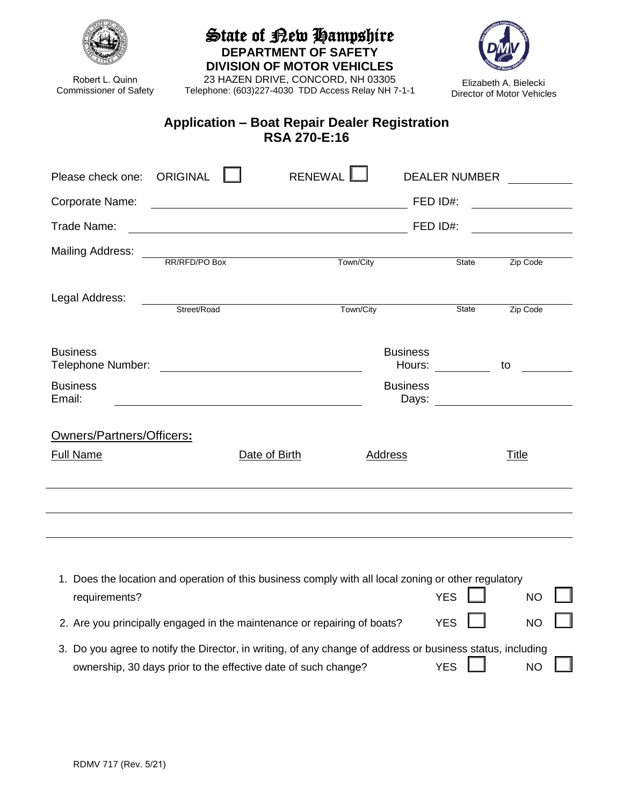| Trade Name:               |               |                                         |                                                                            |                                 |  |
|---------------------------|---------------|-----------------------------------------|----------------------------------------------------------------------------|---------------------------------|--|
|                           |               |                                         |                                                                            |                                 |  |
|                           |               | <u> 1990 - Johann Barbara, martin a</u> |                                                                            |                                 |  |
| Mailing Address:          | RR/RFD/PO Box | Town/City                               | <b>State</b>                                                               | Zip Code                        |  |
| Legal Address:            | Street/Road   | Town/City                               | State                                                                      | Zip Code                        |  |
| <b>Business</b>           |               | <b>Business</b>                         | Hours: $\frac{1}{\sqrt{1-\frac{1}{2}}\cdot\frac{1}{\sqrt{1-\frac{1}{2}}}}$ | to                              |  |
| <b>Business</b><br>Email: |               | <b>Business</b>                         |                                                                            | Days: _________________________ |  |
| Owners/Partners/Officers: |               |                                         |                                                                            |                                 |  |
| <b>Full Name</b>          | Date of Birth | <b>Address</b>                          |                                                                            | <b>Title</b>                    |  |

| State of Kew Hampshire |  |
|------------------------|--|
|------------------------|--|

**DEPARTMENT OF SAFETY DIVISION OF MOTOR VEHICLES**

23 HAZEN DRIVE, CONCORD, NH 03305 Telephone: (603)227-4030 TDD Access Relay NH 7-1-1



L. Ŧ.

| 2. Are you principally engaged in the maintenance or repairing of boats?                                   | YES I I    | $NO$ $\Box$ |  |
|------------------------------------------------------------------------------------------------------------|------------|-------------|--|
| 3. Do you agree to notify the Director, in writing, of any change of address or business status, including |            |             |  |
| ownership, 30 days prior to the effective date of such change?                                             | YES $\Box$ | $NO$ $\Box$ |  |



Robert L. Quinn Commissioner of Safety